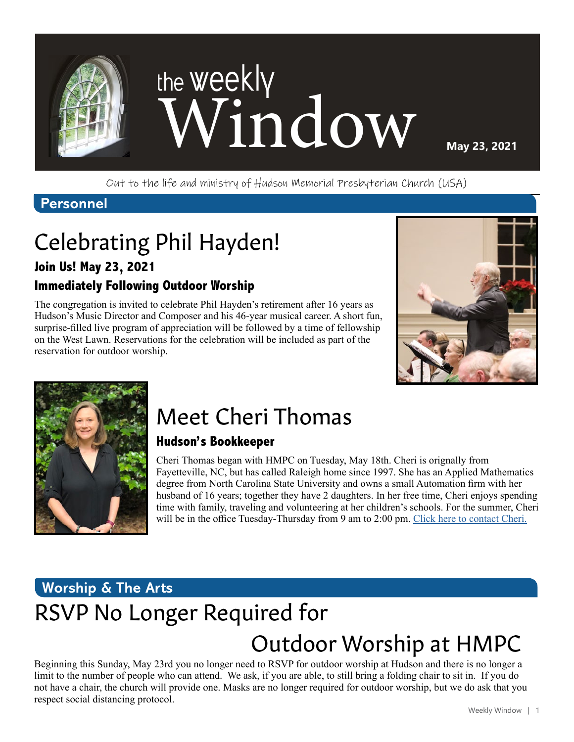

Out to the life and ministry of Hudson Memorial Presbyterian Church (USA)

### **Personnel**

# Celebrating Phil Hayden!

#### **Join Us! May 23, 2021**

### **Immediately Following Outdoor Worship**

The congregation is invited to celebrate Phil Hayden's retirement after 16 years as Hudson's Music Director and Composer and his 46-year musical career. A short fun, surprise-filled live program of appreciation will be followed by a time of fellowship on the West Lawn. Reservations for the celebration will be included as part of the reservation for outdoor worship.





# Meet Cheri Thomas

#### **Hudson's Bookkeeper**

Cheri Thomas began with HMPC on Tuesday, May 18th. Cheri is orignally from Fayetteville, NC, but has called Raleigh home since 1997. She has an Applied Mathematics degree from North Carolina State University and owns a small Automation firm with her husband of 16 years; together they have 2 daughters. In her free time, Cheri enjoys spending time with family, traveling and volunteering at her children's schools. For the summer, Cheri will be in the office Tuesday-Thursday from 9 am to 2:00 pm. [Click here to contact Cheri.](mailto:cthomas%40hmpc.org?subject=)

### **Worship & The Arts**

# RSVP No Longer Required for

## Outdoor Worship at HMPC

Beginning this Sunday, May 23rd you no longer need to RSVP for outdoor worship at Hudson and there is no longer a limit to the number of people who can attend. We ask, if you are able, to still bring a folding chair to sit in. If you do not have a chair, the church will provide one. Masks are no longer required for outdoor worship, but we do ask that you respect social distancing protocol.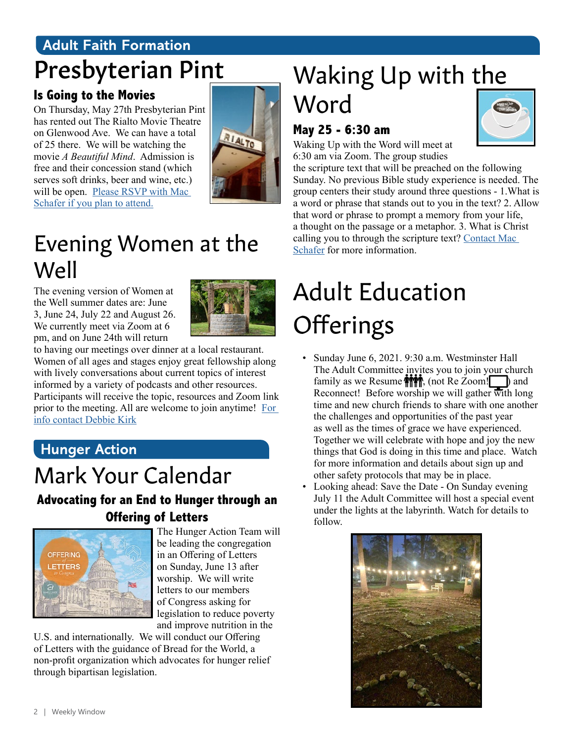### **Adult Faith Formation** Presbyterian Pint

### **Is Going to the Movies**

On Thursday, May 27th Presbyterian Pint has rented out The Rialto Movie Theatre on Glenwood Ave. We can have a total of 25 there. We will be watching the movie *A Beautiful Mind*. Admission is free and their concession stand (which serves soft drinks, beer and wine, etc.) will be open. Please RSVP with Mac [Schafer if you plan to attend.](mailto:mschafer%40hmpc.org?subject=)



## Evening Women at the Well

The evening version of Women at the Well summer dates are: June 3, June 24, July 22 and August 26. We currently meet via Zoom at 6 pm, and on June 24th will return



to having our meetings over dinner at a local restaurant. Women of all ages and stages enjoy great fellowship along with lively conversations about current topics of interest informed by a variety of podcasts and other resources. Participants will receive the topic, resources and Zoom link prior to the meeting. All are welcome to join anytime! [For](mailto:dkirk%40hmpc.org?subject=)  [info contact Debbie Kirk](mailto:dkirk%40hmpc.org?subject=)

### **Hunger Action**

## Mark Your Calendar

### **Advocating for an End to Hunger through an Offering of Letters**



The Hunger Action Team will be leading the congregation in an Offering of Letters on Sunday, June 13 after worship. We will write letters to our members of Congress asking for legislation to reduce poverty and improve nutrition in the

U.S. and internationally. We will conduct our Offering of Letters with the guidance of Bread for the World, a non-profit organization which advocates for hunger relief through bipartisan legislation.

# Waking Up with the Word

### **May 25 - 6:30 am**

Waking Up with the Word will meet at 6:30 am via Zoom. The group studies



the scripture text that will be preached on the following Sunday. No previous Bible study experience is needed. The group centers their study around three questions - 1.What is a word or phrase that stands out to you in the text? 2. Allow that word or phrase to prompt a memory from your life, a thought on the passage or a metaphor. 3. What is Christ calling you to through the scripture text? [Contact Mac](mailto:mschafer%40hmpc.org?subject=)  [Schafer](mailto:mschafer%40hmpc.org?subject=) for more information.

# Adult Education **Offerings**

- Sunday June 6, 2021. 9:30 a.m. Westminster Hall The Adult Committee invites you to join your church family as we Resume  $\left| \bigoplus_{n=1}^{\infty} \mathbb{I} \right|$ , (not Re Zoom! ) and Reconnect! Before worship we will gather with long time and new church friends to share with one another the challenges and opportunities of the past year as well as the times of grace we have experienced. Together we will celebrate with hope and joy the new things that God is doing in this time and place. Watch for more information and details about sign up and other safety protocols that may be in place.
- Looking ahead: Save the Date On Sunday evening July 11 the Adult Committee will host a special event under the lights at the labyrinth. Watch for details to follow.

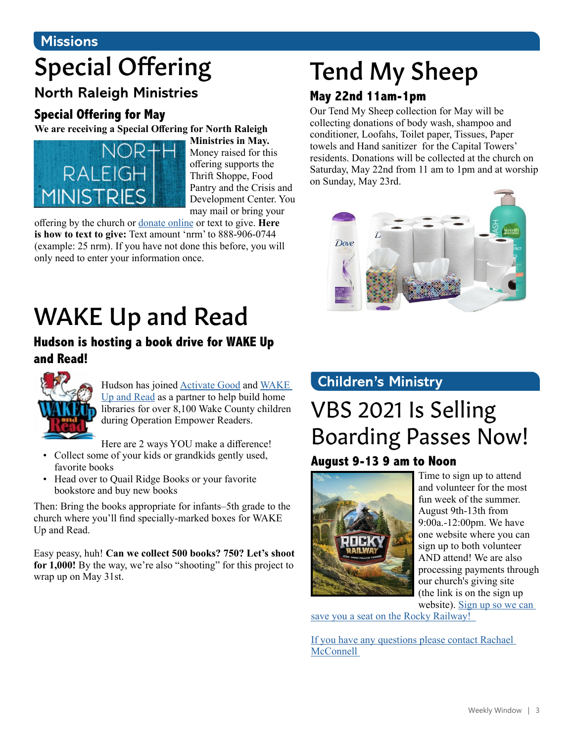### **Missions**

# Special Offering

### **North Raleigh Ministries**

### **Special Offering for May**

**We are receiving a Special Offering for North Raleigh** 



**Ministries in May.** Money raised for this offering supports the Thrift Shoppe, Food Pantry and the Crisis and Development Center. You may mail or bring your

offering by the church or [donate online](https://www.eservicepayments.com/cgi-bin/Vanco_ver3.vps?appver3=Fi1giPL8kwX_Oe1AO50jRnQ574HZh5kFEHVJ6e5We_Us4NSQukCYDzKLUtTTUlsf2EvVVAEjqawDomKT1pbouTsRltlX7QEmZN4jxtbsYBc=&ver=3) or text to give. **Here is how to text to give:** Text amount 'nrm' to 888-906-0744 (example: 25 nrm). If you have not done this before, you will only need to enter your information once.

# WAKE Up and Read

### **Hudson is hosting a book drive for WAKE Up and Read!**



Hudson has joined [Activate Good](https://activategood.org/about/) and [WAKE](https://wakeupandread.org/)  [Up and Read](https://wakeupandread.org/) as a partner to help build home libraries for over 8,100 Wake County children during Operation Empower Readers.

Here are 2 ways YOU make a difference!

- Collect some of your kids or grandkids gently used, favorite books
- Head over to Quail Ridge Books or your favorite bookstore and buy new books

Then: Bring the books appropriate for infants–5th grade to the church where you'll find specially-marked boxes for WAKE Up and Read.

Easy peasy, huh! **Can we collect 500 books? 750? Let's shoot for 1,000!** By the way, we're also "shooting" for this project to wrap up on May 31st.

# Tend My Sheep

### **May 22nd 11am-1pm**

Our Tend My Sheep collection for May will be collecting donations of body wash, shampoo and conditioner, Loofahs, Toilet paper, Tissues, Paper towels and Hand sanitizer for the Capital Towers' residents. Donations will be collected at the church on Saturday, May 22nd from 11 am to 1pm and at worship on Sunday, May 23rd.



### **Children's Ministry**

### VBS 2021 Is Selling Boarding Passes Now! **August 9-13 9 am to Noon**



Time to sign up to attend and volunteer for the most fun week of the summer. August 9th-13th from 9:00a.-12:00pm. We have one website where you can sign up to both volunteer AND attend! We are also processing payments through our church's giving site (the link is on the sign up website). [Sign up so we can](https://vbspro.events/p/hmpcvbs2021 ) 

[save you a seat on the Rocky Railway!](https://vbspro.events/p/hmpcvbs2021 ) 

[If you have any questions please contact Rachael](mailto:rmcconnell%40hmpc.org?subject=)  **McConnell**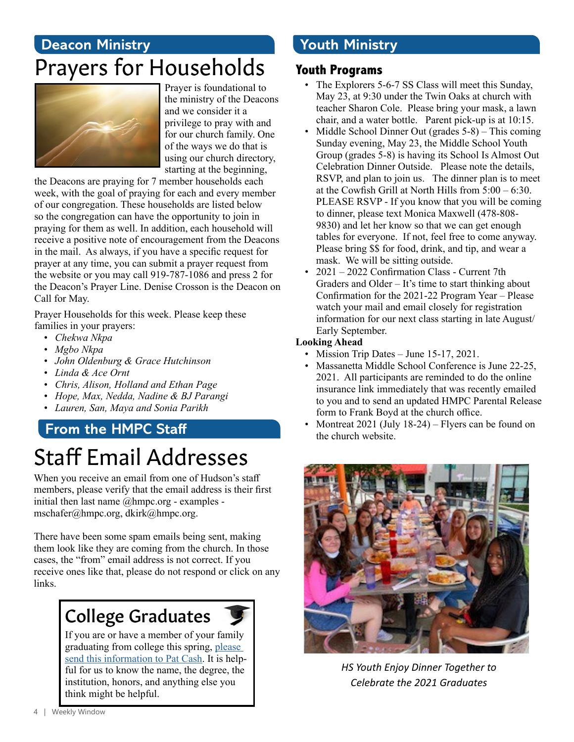### **Deacon Ministry** Prayers for Households



Prayer is foundational to the ministry of the Deacons and we consider it a privilege to pray with and for our church family. One of the ways we do that is using our church directory, starting at the beginning,

the Deacons are praying for 7 member households each week, with the goal of praying for each and every member of our congregation. These households are listed below so the congregation can have the opportunity to join in praying for them as well. In addition, each household will receive a positive note of encouragement from the Deacons in the mail. As always, if you have a specific request for prayer at any time, you can submit a prayer request from the website or you may call 919-787-1086 and press 2 for the Deacon's Prayer Line. Denise Crosson is the Deacon on Call for May.

Prayer Households for this week. Please keep these families in your prayers:

- *• Chekwa Nkpa*
- *• Mgbo Nkpa*
- *• John Oldenburg & Grace Hutchinson*
- *• Linda & Ace Ornt*
- *• Chris, Alison, Holland and Ethan Page*
- *• Hope, Max, Nedda, Nadine & BJ Parangi*
- *• Lauren, San, Maya and Sonia Parikh*

### **From the HMPC Staff** Staff Email Addresses

When you receive an email from one of Hudson's staff members, please verify that the email address is their first initial then last name @hmpc.org - examples mschafer@hmpc.org, dkirk@hmpc.org.

There have been some spam emails being sent, making them look like they are coming from the church. In those cases, the "from" email address is not correct. If you receive ones like that, please do not respond or click on any links.

### College Graduates

If you are or have a member of your family graduating from college this spring, [please](mailto:pcash%40hmpc.org?subject=)  [send this information to Pat Cash.](mailto:pcash%40hmpc.org?subject=) It is helpful for us to know the name, the degree, the institution, honors, and anything else you think might be helpful.

### **Youth Ministry**

#### **Youth Programs**

- The Explorers 5-6-7 SS Class will meet this Sunday, May 23, at 9:30 under the Twin Oaks at church with teacher Sharon Cole. Please bring your mask, a lawn chair, and a water bottle. Parent pick-up is at 10:15.
- Middle School Dinner Out (grades 5-8) This coming Sunday evening, May 23, the Middle School Youth Group (grades 5-8) is having its School Is Almost Out Celebration Dinner Outside. Please note the details, RSVP, and plan to join us. The dinner plan is to meet at the Cowfish Grill at North Hills from 5:00 – 6:30. PLEASE RSVP - If you know that you will be coming to dinner, please text Monica Maxwell (478-808- 9830) and let her know so that we can get enough tables for everyone. If not, feel free to come anyway. Please bring \$\$ for food, drink, and tip, and wear a mask. We will be sitting outside.
- 2021 2022 Confirmation Class Current 7th Graders and Older – It's time to start thinking about Confirmation for the 2021-22 Program Year – Please watch your mail and email closely for registration information for our next class starting in late August/ Early September.

#### **Looking Ahead**

- Mission Trip Dates June 15-17, 2021.
- Massanetta Middle School Conference is June 22-25, 2021. All participants are reminded to do the online insurance link immediately that was recently emailed to you and to send an updated HMPC Parental Release form to Frank Boyd at the church office.
- Montreat  $2021$  (July  $18-24$ ) Flyers can be found on the church website.



*HS Youth Enjoy Dinner Together to Celebrate the 2021 Graduates*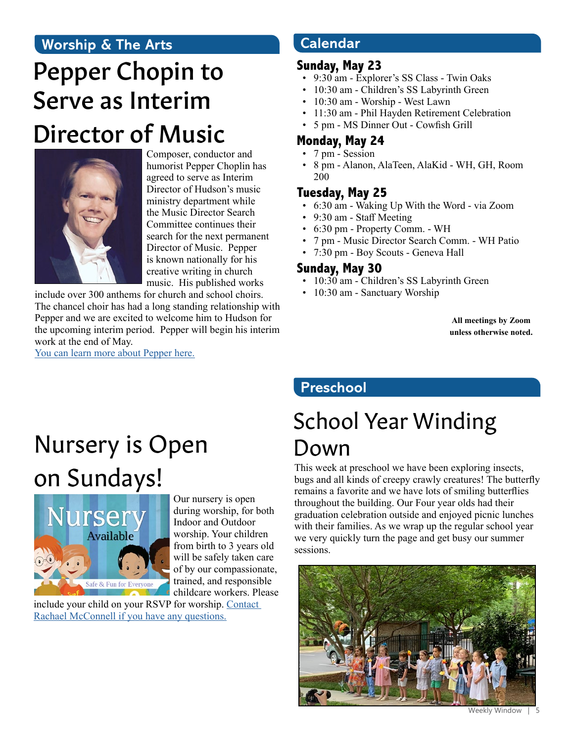### **Worship & The Arts**

# Pepper Chopin to Serve as Interim Director of Music



Composer, conductor and humorist Pepper Choplin has agreed to serve as Interim Director of Hudson's music ministry department while the Music Director Search Committee continues their search for the next permanent Director of Music. Pepper is known nationally for his creative writing in church music. His published works

include over 300 anthems for church and school choirs. The chancel choir has had a long standing relationship with Pepper and we are excited to welcome him to Hudson for the upcoming interim period. Pepper will begin his interim work at the end of May. [You can learn more about Pepper here.](http://www.pepperchoplin.com)

**Calendar** 

#### **Sunday, May 23**

- 9:30 am Explorer's SS Class Twin Oaks
- 10:30 am Children's SS Labyrinth Green
- 10:30 am Worship West Lawn
- 11:30 am Phil Hayden Retirement Celebration
- 5 pm MS Dinner Out Cowfish Grill

### **Monday, May 24**

- 7 pm Session
- 8 pm Alanon, AlaTeen, AlaKid WH, GH, Room 200

### **Tuesday, May 25**

- 6:30 am Waking Up With the Word via Zoom
- 9:30 am Staff Meeting
- 6:30 pm Property Comm. WH
- 7 pm Music Director Search Comm. WH Patio
- 7:30 pm Boy Scouts Geneva Hall

#### **Sunday, May 30**

- 10:30 am Children's SS Labyrinth Green
- 10:30 am Sanctuary Worship

**All meetings by Zoom unless otherwise noted.**

### **Preschool**

# Nursery is Open on Sundays!



Our nursery is open during worship, for both Indoor and Outdoor worship. Your children from birth to 3 years old will be safely taken care of by our compassionate, trained, and responsible childcare workers. Please

include your child on your RSVP for worship. [Contact](mailto:rmcconnell%40hmpc.org?subject=)  [Rachael McConnell if you have any questions.](mailto:rmcconnell%40hmpc.org?subject=)

## School Year Winding Down

This week at preschool we have been exploring insects, bugs and all kinds of creepy crawly creatures! The butterfly remains a favorite and we have lots of smiling butterflies throughout the building. Our Four year olds had their graduation celebration outside and enjoyed picnic lunches with their families. As we wrap up the regular school year we very quickly turn the page and get busy our summer sessions.



Weekly Window